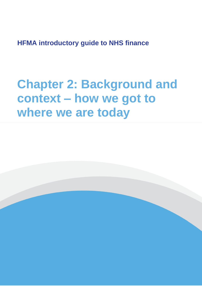**HFMA introductory guide to NHS finance**

# **Chapter 2: Background and context – how we got to where we are today**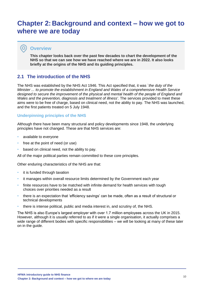# **Chapter 2: Background and context – how we got to where we are today**

## **Overview**

 $\bullet$ 

**This chapter looks back over the past few decades to chart the development of the NHS so that we can see how we have reached where we are in 2022. It also looks briefly at the origins of the NHS and its guiding principles.**

# **2.1 The introduction of the NHS**

The NHS was established by the NHS Act 1946. This Act specified that, it was `*the duty of the Minister ... to promote the establishment in England and Wales of a comprehensive Health Service*  designed to secure the improvement of the physical and mental health of the people of England and *Wales and the prevention, diagnosis and treatment of illness'*. The services provided to meet these aims were to be free of charge, based on clinical need, not the ability to pay. The NHS was launched, and the first patients treated on 5 July 1948.

#### **Underpinning principles of the NHS**

Although there have been many structural and policy developments since 1948, the underlying principles have not changed. These are that NHS services are:

- available to everyone
- free at the point of need (or use)
- based on clinical need, not the ability to pay.

All of the major political parties remain committed to these core principles.

Other enduring characteristics of the NHS are that:

- it is funded through taxation
- it manages within overall resource limits determined by the Government each year
- finite resources have to be matched with infinite demand for health services with tough choices over priorities needed as a result
- there is an expectation that 'efficiency savings' can be made, often as a result of structural or technical developments
- there is intense political, public and media interest in, and scrutiny of, the NHS.

The NHS is also Europe's largest employer with over 1.7 million employees across the UK in 2015. However, although it is usually referred to as if it were a single organisation, it actually comprises a wide range of different bodies with specific responsibilities – we will be looking at many of these later on in the guide.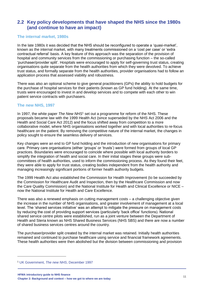# **2.2 Key policy developments that have shaped the NHS since the 1980s (and continue to have an impact)**

#### **The internal market, 1980s**

In the late 1980s it was decided that the NHS should be reconfigured to operate a 'quasi-market', known as the internal market, with many treatments commissioned on a 'cost per case' or 'extra contractual referral' basis. A key feature of this approach was the separation of the provision of hospital and community services from the commissioning or purchasing function – the so-called 'purchaser/provider split'. Hospitals were encouraged to apply for self-governing trust status, creating organisations quite separate from the health authorities from which they were devolved. To achieve trust status, and formally separate from the health authorities, provider organisations had to follow an application process that assessed viability and robustness.

There was also an optional scheme to give general practitioners (GPs) the ability to hold budgets for the purchase of hospital services for their patients (known as GP fund holding). At the same time, trusts were encouraged to invest in and develop services and to compete with each other to win patient service contracts with purchasers.

#### **The new NHS, 1997**

In 1997, the white paper *The New NHS*<sup>1</sup> set out a programme for reform of the NHS. These proposals became law with the 1999 Health Act (since superseded by the NHS Act 2006 and the Health and Social Care Act 2012) and the focus shifted away from competition to a more collaborative model, where NHS organisations worked together and with local authorities to re-focus healthcare on the patient. By removing the competitive nature of the internal market, the changes in policy sought to ensure the seamless delivery of services.

Key changes were an end to GP fund holding and the introduction of new organisations for primary care. Primary care organisations (either 'groups' or 'trusts') were formed from groups of local GP practices. Boundaries were encouraged to coincide where possible with local authority borders to simplify the integration of health and social care. In their initial stages these groups were subcommittees of health authorities, used to inform the commissioning process. As they found their feet, they were able to apply for trust status, creating bodies independent from the health authority and managing increasingly significant portions of former health authority budgets.

The 1999 Health Act also established the Commission for Health Improvement (to be succeeded by the Commission for Healthcare Audit and Inspection, then by the Healthcare Commission and now the Care Quality Commission) and the National Institute for Health and Clinical Excellence or NICE – now the National Institute for Health and Care Excellence.

There was also a renewed emphasis on cutting management costs – a challenging objective given the increase in the number of NHS organisations, and greater involvement of management at a local level. The 'shared services initiative' was an attempt to mitigate the pressure on management costs by reducing the cost of providing support services (particularly 'back office' functions). National shared service centre pilots were established, run as a joint venture between the Department of Health and Steria known as NHS Shared Business Services (NHS SBS) and there are now a number of shared business services centres around the country.

The purchaser/provider split created by the internal market was retained. Initially health authorities remained and continued to purchase healthcare using service and financial framework agreements. These health authorities were then abolished but the division between commissioning and provision

<sup>1</sup> [UK Government,](https://www.gov.uk/government/publications/the-new-nhs) *The new NHS*, December 1997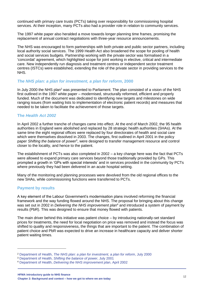continued with primary care trusts (PCTs) taking over responsibility for commissioning hospital services. At their inception, many PCTs also had a provider role in relation to community services.

The 1997 white paper also heralded a move towards longer planning time frames, promising the replacement of annual contract negotiations with three-year resource announcements.

The NHS was encouraged to form partnerships with both private and public sector partners, including local authority social services. The 1999 Health Act also broadened the scope for pooling of health and social services budgets. Partnership working with the private sector was formalised in a 'concordat' agreement, which highlighted scope for joint working in elective, critical and intermediate care. New independently run diagnosis and treatment centres or independent sector treatment centres (ISTCs) were established, extending the role of the private sector in providing services to the NHS.

#### *The NHS plan: a plan for investment, a plan for reform***, 2000**

In July 2000 the NHS plan<sup>2</sup> was presented to Parliament. The plan consisted of a vision of the NHS first outlined in the 1997 white paper – modernised, structurally reformed, efficient and properly funded. Much of the document was dedicated to identifying new targets and milestones on wide ranging issues (from waiting lists to implementation of electronic patient records) and measures that needed to be taken to facilitate the achievement of those targets.

#### **The** *Health Act 2002*

In April 2002 a further tranche of changes came into effect. At the end of March 2002, the 95 health authorities in England were abolished and replaced by 28 strategic health authorities (SHAs). At the same time the eight regional offices were replaced by four directorates of health and social care which were themselves dissolved in 2003. The changes, first outlined in April 2001 in the policy paper Shifting the balance of power<sup>3</sup>, were designed to transfer management resource and control closer to the locality, and hence to the patient.

The establishment of PCTs was also completed in 2002 – a key change here was the fact that PCTs were allowed to expand primary care services beyond those traditionally provided by GPs. This prompted a growth in 'GPs with special interests' and in services provided in the community by PCTs where previously they had been delivered in an acute hospital setting.

Many of the monitoring and planning processes were devolved from the old regional offices to the new SHAs, while commissioning functions were transferred to PCTs.

#### **Payment by results**

A key element of the Labour Government's modernisation plans involved reforming the financial framework and the way funding flowed around the NHS. The proposal for bringing about this change was set out in 2002 in *Delivering the NHS improvement plan*<sup>4</sup> and introduced a system of payment by results (PbR). This was designed to ensure that money flowed with patients.

The main driver behind this initiative was patient choice – by introducing nationally-set standard prices for treatments, the need for local negotiation on price was removed and instead the focus was shifted to quality and responsiveness, the things that are important to the patient. The combination of patient choice and PbR was expected to drive an increase in healthcare capacity and deliver shorter patient waiting times.

<sup>2</sup> Department of Health, *[The NHS plan: a plan for investment, a plan for reform](http://webarchive.nationalarchives.gov.uk/+/www.dh.gov.uk/en/publicationsandstatistics/publications/publicationspolicyandguidance/dh_4002960)*, July 2000

<sup>3</sup> Department of Health, *[Shifting the balance of power](http://webarchive.nationalarchives.gov.uk/+/www.dh.gov.uk/en/publicationsandstatistics/publications/publicationspolicyandguidance/dh_4009844)*, July 2001

<sup>4</sup> Department of Health, *[Delivering the NHS improvement plan](http://webarchive.nationalarchives.gov.uk/+/www.dh.gov.uk/en/publicationsandstatistics/publications/annualreports/browsable/DH_5277178)*, April 2002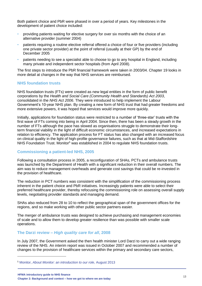Both patient choice and PbR were phased in over a period of years. Key milestones in the development of patient choice included:

- providing patients waiting for elective surgery for over six months with the choice of an alternative provider (summer 2004)
- patients requiring a routine elective referral offered a choice of four or five providers (including one private sector provider) at the point of referral (usually at their GP) by the end of December 2005
- patients needing to see a specialist able to choose to go to any hospital in England, including many private and independent sector hospitals (from April 2008).

The first steps to introduce the PbR financial framework were taken in 2003/04. Chapter 19 looks in more detail at changes in the way that NHS services are reimbursed.

#### **NHS foundation trusts**

NHS foundation trusts (FTs) were created as new legal entities in the form of public benefit corporations by the *Health and Social Care (Community Health and Standards) Act 2003*, consolidated in the *NHS Act 2006*. They were introduced to help implement the Labour Government's 10-year NHS plan. By creating a new form of NHS trust that had greater freedoms and more extensive powers, it was hoped that services would improve more quickly.

Initially, applications for foundation status were restricted to a number of 'three-star' trusts with the first wave of FTs coming into being in April 2004. Since then, there has been a steady growth in the number of FTs although the pace has slowed as organisations struggle to demonstrate their longterm financial viability in the light of difficult economic circumstances, and increased expectations in relation to efficiency. The application process for FT status has also changed with an increased focus on clinical quality in the light of high-profile governance failures, such as that at Mid-Staffordshire NHS Foundation Trust. Monitor<sup>5</sup> was established in 2004 to regulate NHS foundation trusts.

#### **Commissioning a patient-led NHS, 2005**

Following a consultation process in 2005, a reconfiguration of SHAs, PCTs and ambulance trusts was launched by the Department of Health with a significant reduction in their overall numbers. The aim was to reduce management overheads and generate cost savings that could be re-invested in the provision of healthcare.

The reduction in PCT numbers was consistent with the simplification of the commissioning process inherent in the patient choice and PbR initiatives. Increasingly patients were able to select their preferred healthcare provider, thereby refocusing the commissioning role on assessing overall supply levels, negotiating provider standards and managing demand.

SHAs also reduced from 28 to 10 to reflect the geographical span of the government offices for the regions, and so make working with other public sector partners easier.

The merger of ambulance trusts was designed to achieve purchasing and management economies of scale and to allow them to develop greater resilience than was possible with smaller scale operations.

#### **The Darzi review –** *High quality care for all***, 2008**

In July 2007, the Government asked the then health minister Lord Darzi to carry out a wide ranging review of the NHS. An interim report was issued in October 2007 and recommended a number of changes to the provision of healthcare services within the primary and secondary care sectors,

<sup>5</sup> Monitor, *[About Monitor: an introduction to our role,](https://www.gov.uk/government/publications/about-monitor-an-introduction-to-our-role#:~:text=Monitor%27s%20job%20is%20to%20protect,a%20provider%20gets%20into%20difficulty)* August 2013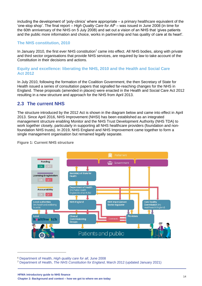including the development of 'poly-clinics' where appropriate – a primary healthcare equivalent of the 'one-stop shop'. The final report – *High Quality Care for All*<sup>6</sup> – was issued in June 2008 (in time for the 60th anniversary of the NHS on 5 July 2008) and set out a vision of an NHS that 'gives patients and the public more information and choice, works in partnership and has quality of care at its heart'.

#### **The NHS constitution, 2010**

In January 2010, the first ever NHS constitution<sup>7</sup> came into effect. All NHS bodies, along with private and third sector organisations that provide NHS services, are required by law to take account of the Constitution in their decisions and actions.

#### **Equity and excellence: liberating the NHS, 2010 and the Health and Social Care Act 2012**

In July 2010, following the formation of the Coalition Government, the then Secretary of State for Health issued a series of consultation papers that signalled far-reaching changes for the NHS in England. These proposals (amended in places) were enacted in the Health and Social Care Act 2012 resulting in a new structure and approach for the NHS from April 2013.

# **2.3 The current NHS**

The structure introduced by the 2012 Act is shown in the diagram below and came into effect in April 2013. Since April 2016, NHS Improvement (NHSI) has been established as an integrated management structure enabling Monitor and the NHS Trust Development Authority (NHS TDA) to work together closely, particularly in supporting all NHS healthcare providers (foundation and nonfoundation NHS trusts). In 2019, NHS England and NHS Improvement came together to form a single management organisation but remained legally separate.



**Figure 1: Current NHS structure**

<sup>6</sup> Department of Health, *[High quality care for all](http://webarchive.nationalarchives.gov.uk/+/www.dh.gov.uk/en/Publicationsandstatistics/Publications/PublicationsPolicyandGuidance/DH_085825)*, June 2008

<sup>7</sup> Department of Health, *The NHS Constitution for England*[, March 2012 \(updated January 2021\)](https://www.gov.uk/government/publications/the-nhs-constitution-for-england)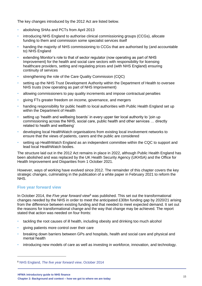The key changes introduced by the 2012 Act are listed below.

- abolishing SHAs and PCTs from April 2013
- introducing NHS England to authorise clinical commissioning groups (CCGs), allocate funding to them and commission some specialist services itself
- handing the majority of NHS commissioning to CCGs that are authorised by (and accountable to) NHS England
- extending Monitor's role to that of sector regulator (now operating as part of NHS Improvement) for the health and social care sectors with responsibility for licensing healthcare providers, setting and regulating prices and (with NHS England) ensuring continuity of services
- strengthening the role of the Care Quality Commission (CQC)
- setting up the NHS Trust Development Authority within the Department of Health to oversee NHS trusts (now operating as part of NHS Improvement)
- allowing commissioners to pay quality increments and impose contractual penalties
- giving FTs greater freedom on income, governance, and mergers
- handing responsibility for public health to local authorities with Public Health England set up within the Department of Health
- setting up 'health and wellbeing boards' in every upper tier local authority to 'join up commissioning across the NHS, social care, public health and other services … directly related to health and wellbeing'
- developing local HealthWatch organisations from existing local involvement networks to ensure that the views of patients, carers and the public are considered
- setting up HealthWatch England as an independent committee within the CQC to support and lead local HealthWatch bodies.

The structure laid out in the 2012 Act remains in place in 2022, although Public Health England has been abolished and was replaced by the UK Health Security Agency (UKHSA) and the Office for Health Improvement and Disparities from 1 October 2021.

However, ways of working have evolved since 2012. The remainder of this chapter covers the key strategic changes, culminating in the publication of a white paper in February 2021 to reform the NHS.

#### **Five year forward view**

In October 2014, the *Five year forward view*<sup>8</sup> was published. This set out the transformational changes needed by the NHS in order to meet the anticipated £30bn funding gap by 2020/21 arising from the difference between existing funding and that needed to meet expected demand. It set out the reasons for transformational change and the way that change may be achieved. The report stated that action was needed on four fronts:

- tackling the root causes of ill health, including obesity and drinking too much alcohol
- giving patients more control over their care
- breaking down barriers between GPs and hospitals, health and social care and physical and mental health
- introducing new models of care as well as investing in workforce, innovation, and technology.

<sup>8</sup> NHS England, *[The five year forward view](https://www.england.nhs.uk/five-year-forward-view/)*, October 2014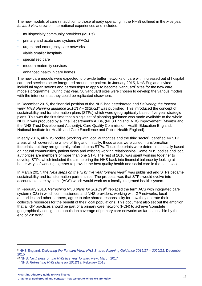The new models of care (in addition to those already operating in the NHS) outlined in the *Five year forward view* drew on international experiences and included:

- multispecialty community providers (MCPs)
- primary and acute care systems (PACs)
- urgent and emergency care networks
- viable smaller hospitals
- specialised care
- modern maternity services
- enhanced health in care homes.

The new care models were expected to provide better networks of care with increased out of hospital care and services better integrated around the patient. In January 2015, NHS England invited individual organisations and partnerships to apply to become 'vanguard' sites for the new care models programme. During that year, 50 vanguard sites were chosen to develop the various models, with the intention that they could be replicated elsewhere.

In December 2015, the financial position of the NHS had deteriorated and *Delivering the forward view: NHS planning guidance 2016/17 – 2020/21*<sup>9</sup> was published. This introduced the concept of sustainability and transformation plans (STPs) which were geographically based, five-year strategic plans. This was the first time that a single set of planning guidance was made available to the whole NHS. It was produced by all the Department's ALBs, (NHS England, NHS Improvement (Monitor and the NHS Trust Development Authority), Care Quality Commission, Health Education England, National Institute for Health and Care Excellence and Public Health England).

In early 2016, all NHS bodies (working with local authorities and the third sector) identified 44 STP areas which covered the whole of England. Initially, these areas were called 'transformation footprints' but they are generally referred to as STPs. These footprints were determined locally based on natural communities, patient flows and existing working relationships. Some NHS bodies and local authorities are members of more than one STP. The rest of 2016 was spent working together to develop STPs which included the aim to bring the NHS back into financial balance by looking at better ways of working together to provide the best quality health and social care in the best place.

In March 2017, the *Next steps on the NHS five year forward view*<sup>10</sup> was published and STPs became sustainability and transformation partnerships. The proposal was that STPs would evolve into accountable care systems (ACS) which would work as a locally integrated health system.

In February 2018, *Refreshing NHS plans for 2018/19*<sup>11</sup> replaced the term ACS with integrated care system (ICS) in which commissioners and NHS providers, working with GP networks, local authorities and other partners, agree to take shared responsibility for how they operate their collective resources for the benefit of their local populations. This document also set out the ambition that all GP practices should be part of a primary care network (PCN) to achieve 'complete geographically contiguous population coverage of primary care networks as far as possible by the end of 2018/19'.

<sup>9</sup> NHS England*[, Delivering the Forward View: NHS Shared Planning Guidance 2016/17 –](https://www.england.nhs.uk/publication/delivering-the-forward-view-nhs-planning-guidance-201617-202021/) 2020/21*, December [2015](https://www.england.nhs.uk/publication/delivering-the-forward-view-nhs-planning-guidance-201617-202021/)

<sup>10</sup> NHS, *[Next steps on the NHS five year forward view,](https://www.england.nhs.uk/five-year-forward-view/)* March 2017

<sup>11</sup> NHS, *[Refreshing NHS plans for 2018/19,](https://www.england.nhs.uk/publication/refreshing-nhs-plans-for-2018-19/)* February 2018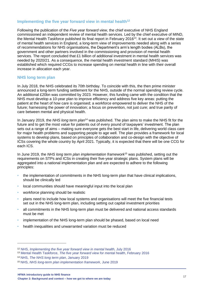#### **Implementing the five year forward view in mental health<sup>12</sup>**

Following the publication of the *Five year forward view*, the chief executive of NHS England commissioned an independent review of mental health services. Led by the chief executive of MIND, the Mental Health Taskforce published its final report in February 2016<sup>13</sup>. It set out a view of the state of mental health services in England, a long-term view of improvements needed along with a series of recommendations for NHS organisations, the Department's arm's length bodies (ALBs), the government and other partners involved in the commissioning and provision of mental health services. The report concluded that £1 billion of additional investment in mental health services was needed by 2020/21. As a consequence, the mental health investment standard (MHIS) was established which required CCGs to increase spending on mental health in line with their overall increase in allocation each year.

#### **NHS long term plan**

In July 2018, the NHS celebrated its 70th birthday. To coincide with this, the then prime minister announced a long-term funding settlement for the NHS, outside of the normal spending review cycle. An additional £20bn was committed by 2023. However, this funding came with the condition that the NHS must develop a 10-year plan to improve efficiency and address five key areas: putting the patient at the heart of how care is organised; a workforce empowered to deliver the NHS of the future; harnessing the power of innovation; a focus on prevention, not just cure; and true parity of care between mental and physical health.

In January 2019, the *NHS long term plan*<sup>14</sup> was published. The plan aims to make the NHS fit for the future and to get the most value for patients out of every pound of taxpayers' investment. The plan sets out a range of aims – making sure everyone gets the best start in life, delivering world class care for major health problems and supporting people to age well. The plan provides a framework for local systems to develop plans, based on principles of collaboration and co-design with the objective of ICSs covering the whole country by April 2021. Typically, it is expected that there will be one CCG for each ICS.

In June 2019, the *NHS long term plan implementation framework*<sup>15</sup> was published, setting out the requirements on STPs and ICSs in creating their five-year strategic plans. System plans will be aggregated into a national implementation plan and are expected to adhere to the following principles:

- the implementation of commitments in the NHS long-term plan that have clinical implications, should be clinically led
- local communities should have meaningful input into the local plan
- workforce planning should be realistic
- plans need to include how local systems and organisations will meet the five financial tests set out in the NHS long-term plan, including setting out capital investment priorities
- all commitments in the NHS long-term plan must be delivered and national access standards must be met
- implementation of the NHS long-term plan should be phased, based on local need
- health inequalities and unwarranted variation must be reduced

<sup>12</sup> NHS, *[Implementing the five year forward view in mental health,](https://www.england.nhs.uk/publication/implementing-the-fyfv-for-mental-health/)* July 2016

<sup>13</sup> Mental Health Taskforce, *[The five year forward view for mental health](https://www.england.nhs.uk/wp-content/uploads/2016/02/Mental-Health-Taskforce-FYFV-final.pdf)*, February 2016

<sup>14</sup> NHS, *[The NHS long term plan](https://www.longtermplan.nhs.uk/publication/implementation-framework/)*, January 2019

<sup>15</sup> NHS, *[NHS long-term plan implementation framework](https://www.longtermplan.nhs.uk/publication/implementation-framework/)*, June 2019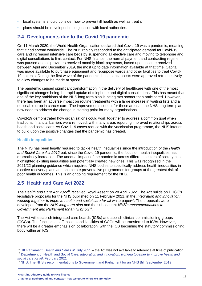- local systems should consider how to prevent ill health as well as treat it
- plans should be developed in conjunction with local authorities.

# **2.4 Developments due to the Covid-19 pandemic**

On 11 March 2020, the World Health Organisation declared that Covid-19 was a pandemic, meaning that it had spread worldwide. The NHS rapidly responded to the anticipated demand for Covid-19 care and increased intensive care beds by suspending all elective care and moving to telephone and digital consultations to limit contact. For NHS finance, the normal payment and contracting regime was paused and all providers received monthly block payments, based upon income received between April and December 2019, the most up to date information available at that time. Capital was made available to purchase equipment and repurpose wards and other facilities to treat Covid-19 patients. During the first wave of the pandemic these capital costs were approved retrospectively to allow changes to be made at speed.

The pandemic caused significant transformation in the delivery of healthcare with one of the most significant changes being the rapid uptake of telephone and digital consultations. This has meant that one of the key ambitions of the NHS long term plan is being met sooner than anticipated. However, there has been an adverse impact on routine treatments with a large increase in waiting lists and a noticeable drop in cancer care. The improvements set out for these areas in the NHS long term plan now need to address the change in starting point for many organisations.

Covid-19 demonstrated how organisations could work together to address a common goal when traditional financial barriers were removed, with many areas reporting improved relationships across health and social care. As Covid-19 cases reduce with the vaccination programme, the NHS intends to build upon the positive changes that the pandemic has created.

#### **Health inequalities**

The NHS has been legally required to tackle health inequalities since the introduction of the *Health and Social Care Act 2012* but, since the Covid-19 pandemic, the focus on health inequalities has dramatically increased. The unequal impact of the pandemic across different sectors of society has highlighted existing inequalities and potentially created new ones. This was recognised in the 2021/22 planning guidance which required NHS bodies to specifically address health inequalities in elective recovery plans and accelerate preventative programmes for groups at the greatest risk of poor health outcomes. This is an ongoing requirement for the NHS.

# **2.5 Health and Care Act 2022**

The *Health and Care Act 2022<sup>16</sup>* received Royal Assent on 28 April 2022. The Act builds on DHSC's legislative proposals for the NHS published on 11 February 2021, in the *Integration and innovation:*  working together to improve health and social care for all white paper<sup>17</sup>. The proposals were developed from the *NHS long term plan* and the subsequent *NHS's recommendations to Government and Parliament for an NHS bill*<sup>18</sup> .

The Act will establish integrated care boards (ICBs) and abolish clinical commissioning groups (CCGs). The functions, staff, assets and liabilities of CCGs will be transferred to ICBs. However, there will be a greater emphasis on collaboration, with the ICB becoming the statutory commissioning body within an ICS.

<sup>16</sup> UK Parliament, *[Health and Care Bill](https://bills.parliament.uk/bills/3022)*, July 2021 – the Act was not available to reference at time of publication

<sup>17</sup> Department of Health and Social Care, *Integration [and innovation: working together to improve health and](https://www.gov.uk/government/publications/working-together-to-improve-health-and-social-care-for-all/integration-and-innovation-working-together-to-improve-health-and-social-care-for-all-html-version)  [social care for all](https://www.gov.uk/government/publications/working-together-to-improve-health-and-social-care-for-all/integration-and-innovation-working-together-to-improve-health-and-social-care-for-all-html-version)*, February 2021

<sup>18</sup> [NHS, The NHS's recommendations to Government and Parliament for an NHS Bill, September 2019](https://www.england.nhs.uk/wp-content/uploads/2019/09/BM1917-NHS-recommendations-Government-Parliament-for-an-NHS-Bill.pdf)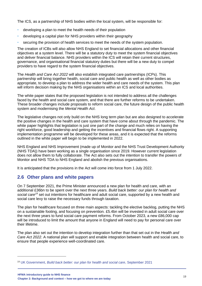The ICS, as a partnership of NHS bodies within the local system, will be responsible for:

- developing a plan to meet the health needs of their population
- developing a capital plan for NHS providers within their geography
- securing the provision of health services to meet the needs of the system population.

The creation of ICBs will also allow NHS England to set financial allocations and other financial objectives at a system level. There will be a statutory duty to meet the system financial objectives and deliver financial balance. NHS providers within the ICS will retain their current structures, governance, and organisational financial statutory duties but there will be a new duty to compel providers to have regard to the system financial objectives.

The *Health and Care Act 2022* will also establish integrated care partnerships (ICPs). This partnership will bring together health, social care and public health as well as other bodies as appropriate, to develop a plan to address the wider health and care needs of the system. This plan will inform decision making by the NHS organisations within an ICS and local authorities.

The white paper states that the proposed legislation is not intended to address all the challenges faced by the health and social care system, and that there are further reforms to be undertaken. These broader changes include proposals to reform social care, the future design of the public health system and modernising the *Mental Health Act*.

The legislative changes not only build on the NHS long term plan but are also designed to accelerate the positive changes in the health and care system that have come about through the pandemic. The white paper highlights that legislation is just one part of the change and much relies on having the right workforce, good leadership and getting the incentives and financial flows right. A supporting implementation programme will be developed for these areas, and it is expected that the reforms outlined in the white paper will begin to be implemented in 2022.

NHS England and NHS Improvement (made up of Monitor and the NHS Trust Development Authority (NHS TDA)) have been working as a single organisation since 2019. However current legislation does not allow them to fully collaborate. The Act also sets out the intention to transfer the powers of Monitor and NHS TDA to NHS England and abolish the previous organisations.

It is anticipated that the provisions in the Act will come into force from 1 July 2022.

# **2.6 Other plans and white papers**

On 7 September 2021, the Prime Minister announced a new plan for health and care, with an additional £36bn to be spent over the next three years. *Build back better: our plan for health and social care<sup>19</sup>* set out intentions for healthcare and adult social care, supported by a new health and social care levy to raise the necessary funds through taxation.

The plan for healthcare focused on three main aspects: tackling the elective backlog, putting the NHS on a sustainable footing, and focusing on prevention. £5.4bn will be invested in adult social care over the next three years to fund social care payment reforms. From October 2023, a new £86,000 cap will be introduced to limit the amount that anyone in England will need to pay for personal care over their lifetime.

The plan also set out the intention to develop integration further than that set out in the *Health and Care Act 2022*. A national plan will support and enable integration between health and social care, to ensure that people experience well-coordinated care.

<sup>19</sup> UK Government, *[Build back better: our plan for health and social care](https://www.gov.uk/government/publications/build-back-better-our-plan-for-health-and-social-care)*, September 2021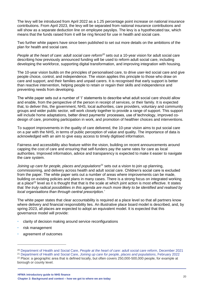The levy will be introduced from April 2022 as a 1.25 percentage point increase on national insurance contributions. From April 2023, the levy will be separated from national insurance contributions and will show as a separate deduction line on employee payslips. The levy is a hypothecated tax, which means that the funds raised from it will be ring fenced for use in health and social care.

Two further white papers have since been published to set out more details on the ambitions of the plan for health and social care.

*People at the heart of care: adult social care reform<sup>20</sup>* sets out a 10-year vision for adult social care describing how previously announced funding will be used to reform adult social care, including developing the workforce, supporting digital transformation, and improving integration with housing.

The 10-year vision builds on the principles of personalised care, to drive user-led social care and give people choice, control, and independence. The vision applies this principle to those who draw on care and support, and their families and unpaid carers. It is recognised that early support is better than reactive intervention, helping people to retain or regain their skills and independence and preventing needs from developing.

The white paper sets out a number of 'I' statements to describe what adult social care should allow and enable, from the perspective of the person in receipt of services, or their family. It is expected that, to deliver this, the government, NHS, local authorities, care providers, voluntary and community groups and wider public sector, will work closely together to provide a range of support. This support will include home adaptations, better direct payments' processes, use of technology, improved codesign of care, promoting participation in work, and promotion of healthier choices and interventions.

To support improvements in the quality of care delivered, the 10-year vision aims to put social care on a par with the NHS, in terms of public perception of value and quality. The importance of data is acknowledged with an aim to give easy access to timely digitised information.

Fairness and accessibility also feature within the vision, building on recent announcements around capping the cost of care and ensuring that self-funders pay the same rates for care as local authorities. Improved information, advice and transparency is expected to make it easier to navigate the care system.

*Joining up care for people, places and populations<sup>21</sup>* sets out a vision to join up planning, commissioning, and delivery across health and adult social care. Children's social care is excluded from the paper. The white paper sets out a number of areas where improvements can be made, building on existing policies and plans in many cases. There is a strong focus on integrated working at a place<sup>22</sup> level as it is thought that that is the scale at which joint action is most effective. It states that *'the truly radical possibilities in this agenda are much more likely to be identified and realised by local organisations than through central prescription.'*

The white paper states that clear accountability is required at a place level so that all partners know where delivery and financial responsibility lies. An illustrative place board model is described, and, by spring 2023, all places are expected to adopt an equivalent model. It is expected that this governance model will provide:

- clarity of decision making around service reconfigurations
- risk management
- agreement of outcomes

<sup>21</sup> Department of Health and Social Care, *[Joining up care for people, places and populations](https://assets.publishing.service.gov.uk/government/uploads/system/uploads/attachment_data/file/1055687/joining-up-care-for-people-places-and-populations-web-accessible.pdf)*, February 2022  $22$  Place: a geographic area that is defined locally, but often covers 250,000-500,000 people, for example at

<sup>20</sup> Department of Health and Social Care, *[People at the heart of care: adult social care reform](https://www.gov.uk/government/publications/people-at-the-heart-of-care-adult-social-care-reform-white-paper/people-at-the-heart-of-care-adult-social-care-reform#where-we-go-from-here)*, December 2021

borough or county level.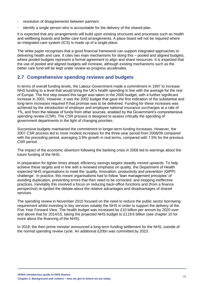- resolution of disagreements between partners
- identify a single person who is accountable for the delivery of the shared plan.

It is expected that any arrangements will build upon existing structures and processes such as health and wellbeing boards and better care fund arrangements. A place board will not be required where an integrated care system (ICS) is made up of a single place.

The white paper recognises that a good financial framework can support integrated approaches to delivering health and care. It cites two main mechanisms for doing this – pooled and aligned budgets, where pooled budgets represent a formal agreement to align and share resources. It is expected that the use of pooled and aligned budgets will increase, although existing mechanisms such as the better care fund will be kept under review as progress accelerates.

## **2.7 Comprehensive spending reviews and budgets**

In terms of overall funding levels, the Labour Government made a commitment in 1997 to increase NHS funding to a level that would bring the UK's health spending in line with the average for the rest of Europe. The first step toward this target was taken in the 2000 budget, with a further significant increase in 2001. However, it was the 2002 budget that gave the first indication of the substantial and long-term increases required if that promise was to be delivered. Funding for these increases was achieved by the introduction of employer and employee national insurance surcharges at a rate of 1%, and from the release of funds from other sources, enabled by the Government's comprehensive spending review (CSR). The CSR process is designed to assess critically the spending of government departments in the light of changing priorities.

Successive budgets maintained the commitment to longer-term funding increases. However, the 2007 CSR process led to more modest increases for the three-year period from 2008/09 compared with the preceding period, averaging 3.9% growth in real terms, compared with 7.5% for the previous CSR period.

The impact of the economic downturn following the banking crisis in 2008 led to warnings about the future funding of the NHS.

In preparation for tighter times ahead, efficiency savings targets steadily moved upwards. To help achieve these targets and in line with a renewed emphasis on quality, the Department of Health expected NHS organisations to meet the 'quality, innovation, productivity and prevention (QIPP) challenge'. In practice, this meant organisations had to follow 'lean management principles' of avoiding duplication, preventing errors that then need to be corrected, and stopping ineffective practices. Inevitably this involved a focus on reducing back-office functions and (from a finance perspective) re-ignited the debate about the relative advantages and disadvantages of shared services.

The spending review in November 2015 focused on the need to reduce the public sector borrowing requirement whilst investing in key services notably the NHS in order to support the delivery of the Five Year Forward View. The health budget was increased by £10 billion per annum by 2020 over and above that for 2014/15, taking the projected NHS budget to £119.6 billion (see chapter 10 for more about the financing of the NHS).

In 2018, the then prime minister announced a long-term funding settlement for the NHS, outside of the normal spending review cycle. An additional £20bn was committed by 2023.